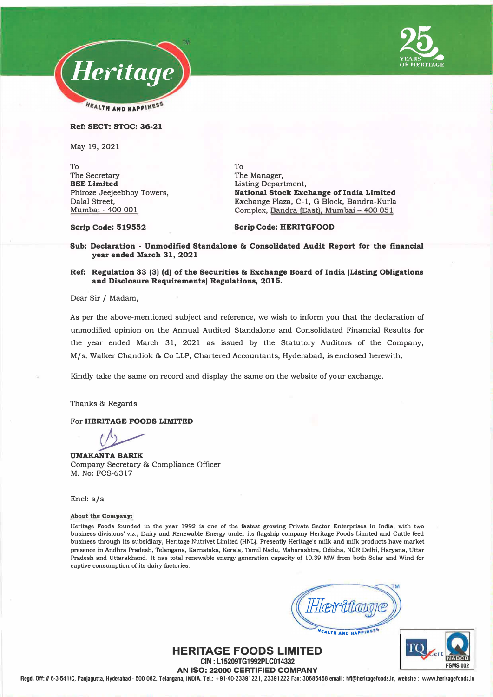



**Ref: SECT: STOC: 36-21** 

May 19, 2021

To The Secretary **BSE Limited**  Phiroze Jeejeebhoy Towers, Dalal Street, Mumbai - 400 001

To The Manager, Listing Department, **National Stock Exchange of India Limited**  Exchange Plaza, C-1, G Block, Bandra-Kurla Complex, Bandra {East), Mumbai-400 051

**Scrip Code: 519552** 

**Scrip Code: HERITGFOOD** 

**Sub: Declaration - Unmodified Standalone & Consolidated Audit Report for the financial year ended March 31, 2021** 

## **Ref: Regulation 33 (3) (d) of the Securities & Exchange Board of India (Listing Obligations and Disclosure Requirements) Regulations, 2015.**

Dear Sir / Madam,

As per the above-mentioned subject and reference, we wish to inform you that the declaration of unmodified opinion on the Annual Audited Standalone and Consolidated Financial Results for the year ended March 31, 2021 as issued by the Statutory Auditors of the Company, M/s. Walker Chandiok & Co LLP, Chartered Accountants, Hyderabad, is enclosed herewith.

Kindly take the same on record and display the same on the website of your exchange.

Thanks & Regards

For **HERITAGE FOODS LIMITED** 

<u>and</u>

**UMAKANTA BARIK**  Company Secretary & Compliance Officer M. No: FCS-6317

Encl: a/a

## **About the Company:**

**Heritage Foods founded in the year 1992 is one of the fastest growing Private Sector Enterprises in India, with two business divisions' viz., Dairy and Renewable Energy under its flagship company Heritage Foods Limited and Cattle feed business through its subsidiary, Heritage Nutrivet Limited (HNL). Presently Heritage's milk and milk products have market presence in Andhra Pradesh, Telangana, Kamataka, Kerala, Tamil Nadu, Maharashtra, Odisha, NCR Delhi, Haryana, Uttar Pradesh and Uttarakhand. It has total renewable energy generation capacity of 10.39 MW from both Solar and Wind for captive consumption of its dairy factories.** 

**SALTH AND HAPPINES** 

## **HERITAGE FOODS LIMITED CIN: L15209TG1992PLC014332**

**AN ISO: 22000 CERTIFIED COMPANY** 

**Regd. Off:# 6-3-541/C, Panjagutta, Hyderabad - 500 082. Telangana, INOIA. Tel.: +91-40-23391221, 23391222 Fax: 30685458 email: hfl@heritagefoods.in, website: www.heritagefoods.in**